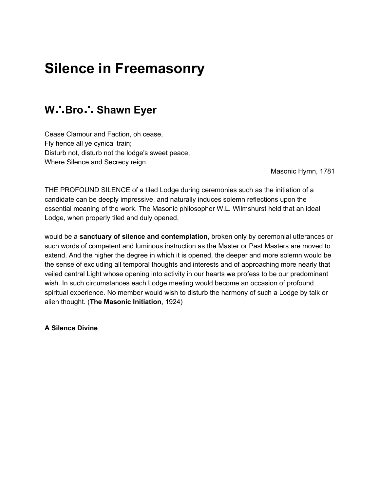## **Silence in Freemasonry**

## **W**∴**Bro**∴ **Shawn Eyer**

Cease Clamour and Faction, oh cease, Fly hence all ye cynical train; Disturb not, disturb not the lodge's sweet peace, Where Silence and Secrecy reign.

Masonic Hymn, 1781

THE PROFOUND SILENCE of a tiled Lodge during ceremonies such as the initiation of a candidate can be deeply impressive, and naturally induces solemn reflections upon the essential meaning of the work. The Masonic philosopher W.L. Wilmshurst held that an ideal Lodge, when properly tiled and duly opened,

would be a **sanctuary of silence and contemplation**, broken only by ceremonial utterances or such words of competent and luminous instruction as the Master or Past Masters are moved to extend. And the higher the degree in which it is opened, the deeper and more solemn would be the sense of excluding all temporal thoughts and interests and of approaching more nearly that veiled central Light whose opening into activity in our hearts we profess to be our predominant wish. In such circumstances each Lodge meeting would become an occasion of profound spiritual experience. No member would wish to disturb the harmony of such a Lodge by talk or alien thought. (**The Masonic Initiation**, 1924)

**A Silence Divine**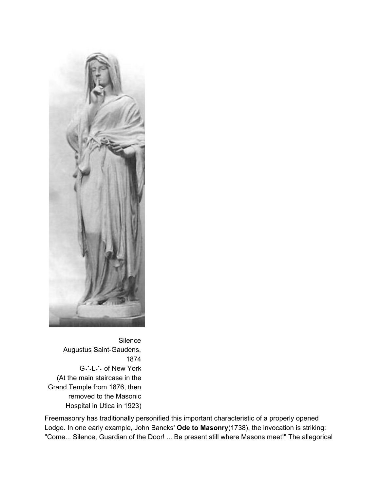

**Silence** Augustus Saint-Gaudens, 1874 G∴L∴ of New York (At the main staircase in the Grand Temple from 1876, then removed to the Masonic Hospital in Utica in 1923)

Freemasonry has traditionally personified this important characteristic of a properly opened Lodge. In one early example, John Bancks' **Ode to Masonry**(1738), the invocation is striking: "Come... Silence, Guardian of the Door! ... Be present still where Masons meet!" The allegorical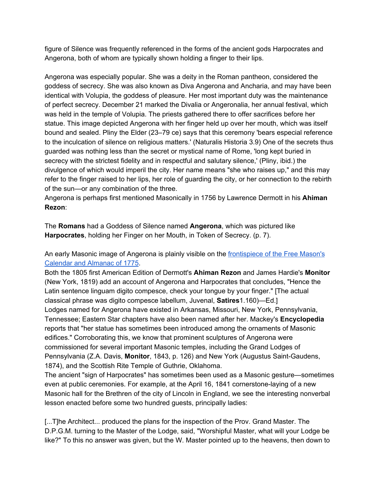figure of Silence was frequently referenced in the forms of the ancient gods Harpocrates and Angerona, both of whom are typically shown holding a finger to their lips.

Angerona was especially popular. She was a deity in the Roman pantheon, considered the goddess of secrecy. She was also known as Diva Angerona and Ancharia, and may have been identical with Volupia, the goddess of pleasure. Her most important duty was the maintenance of perfect secrecy. December 21 marked the Divalia or Angeronalia, her annual festival, which was held in the temple of Volupia. The priests gathered there to offer sacrifices before her statue. This image depicted Angerona with her finger held up over her mouth, which was itself bound and sealed. Pliny the Elder (23–79 ce) says that this ceremony 'bears especial reference to the inculcation of silence on religious matters.' (Naturalis Historia 3.9) One of the secrets thus guarded was nothing less than the secret or mystical name of Rome, 'long kept buried in secrecy with the strictest fidelity and in respectful and salutary silence,' (Pliny, ibid.) the divulgence of which would imperil the city. Her name means "she who raises up," and this may refer to the finger raised to her lips, her role of guarding the city, or her connection to the rebirth of the sun—or any combination of the three.

Angerona is perhaps first mentioned Masonically in 1756 by Lawrence Dermott in his **Ahiman Rezon**:

The **Romans** had a Goddess of Silence named **Angerona**, which was pictured like **Harpocrates**, holding her Finger on her Mouth, in Token of Secrecy. (p. 7).

An early Masonic image of Angerona is plainly visible on the [frontispiece](http://academialodge.org/art_1775_calendar.php) of the Free Mason's [Calendar](http://academialodge.org/art_1775_calendar.php) and Almanac of 1775.

Both the 1805 first American Edition of Dermott's **Ahiman Rezon** and James Hardie's **Monitor** (New York, 1819) add an account of Angerona and Harpocrates that concludes, "Hence the Latin sentence linguam digito compesce, check your tongue by your finger." [The actual classical phrase was digito compesce labellum, Juvenal, **Satires**1.160)—Ed.] Lodges named for Angerona have existed in Arkansas, Missouri, New York, Pennsylvania, Tennessee; Eastern Star chapters have also been named after her. Mackey's **Encyclopedia** reports that "her statue has sometimes been introduced among the ornaments of Masonic edifices." Corroborating this, we know that prominent sculptures of Angerona were commissioned for several important Masonic temples, including the Grand Lodges of Pennsylvania (Z.A. Davis, **Monitor**, 1843, p. 126) and New York (Augustus Saint-Gaudens, 1874), and the Scottish Rite Temple of Guthrie, Oklahoma.

The ancient "sign of Harpocrates" has sometimes been used as a Masonic gesture—sometimes even at public ceremonies. For example, at the April 16, 1841 cornerstone-laying of a new Masonic hall for the Brethren of the city of Lincoln in England, we see the interesting nonverbal lesson enacted before some two hundred guests, principally ladies:

[...T]he Architect... produced the plans for the inspection of the Prov. Grand Master. The D.P.G.M. turning to the Master of the Lodge, said, "Worshipful Master, what will your Lodge be like?" To this no answer was given, but the W. Master pointed up to the heavens, then down to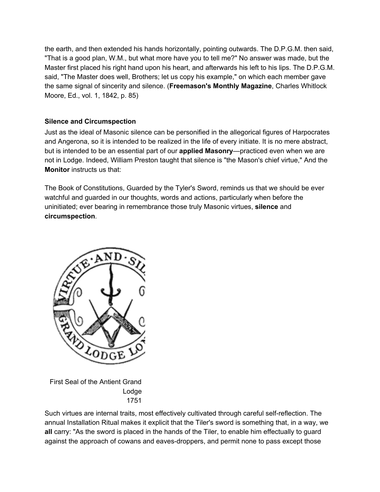the earth, and then extended his hands horizontally, pointing outwards. The D.P.G.M. then said, "That is a good plan, W.M., but what more have you to tell me?" No answer was made, but the Master first placed his right hand upon his heart, and afterwards his left to his lips. The D.P.G.M. said, "The Master does well, Brothers; let us copy his example," on which each member gave the same signal of sincerity and silence. (**Freemason's Monthly Magazine**, Charles Whitlock Moore, Ed., vol. 1, 1842, p. 85)

## **Silence and Circumspection**

Just as the ideal of Masonic silence can be personified in the allegorical figures of Harpocrates and Angerona, so it is intended to be realized in the life of every initiate. It is no mere abstract, but is intended to be an essential part of our **applied Masonry**—practiced even when we are not in Lodge. Indeed, William Preston taught that silence is "the Mason's chief virtue," And the **Monitor** instructs us that:

The Book of Constitutions, Guarded by the Tyler's Sword, reminds us that we should be ever watchful and guarded in our thoughts, words and actions, particularly when before the uninitiated; ever bearing in remembrance those truly Masonic virtues, **silence** and **circumspection**.



First Seal of the Antient Grand Lodge 1751

Such virtues are internal traits, most effectively cultivated through careful self-reflection. The annual Installation Ritual makes it explicit that the Tiler's sword is something that, in a way, we **all** carry: "As the sword is placed in the hands of the Tiler, to enable him effectually to guard against the approach of cowans and eaves-droppers, and permit none to pass except those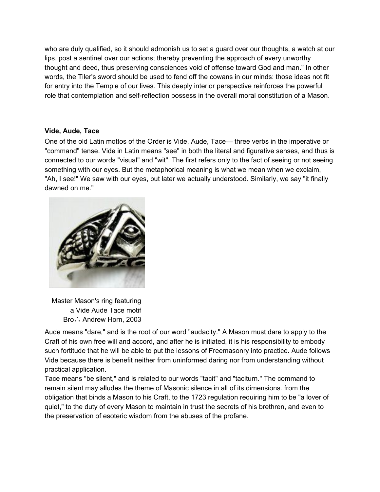who are duly qualified, so it should admonish us to set a guard over our thoughts, a watch at our lips, post a sentinel over our actions; thereby preventing the approach of every unworthy thought and deed, thus preserving consciences void of offense toward God and man." In other words, the Tiler's sword should be used to fend off the cowans in our minds: those ideas not fit for entry into the Temple of our lives. This deeply interior perspective reinforces the powerful role that contemplation and self-reflection possess in the overall moral constitution of a Mason.

## **Vide, Aude, Tace**

One of the old Latin mottos of the Order is Vide, Aude, Tace— three verbs in the imperative or "command" tense. Vide in Latin means "see" in both the literal and figurative senses, and thus is connected to our words "visual" and "wit". The first refers only to the fact of seeing or not seeing something with our eyes. But the metaphorical meaning is what we mean when we exclaim, "Ah, I see!" We saw with our eyes, but later we actually understood. Similarly, we say "it finally dawned on me."



Master Mason's ring featuring a Vide Aude Tace motif Bro∴ Andrew Horn, 2003

Aude means "dare," and is the root of our word "audacity." A Mason must dare to apply to the Craft of his own free will and accord, and after he is initiated, it is his responsibility to embody such fortitude that he will be able to put the lessons of Freemasonry into practice. Aude follows Vide because there is benefit neither from uninformed daring nor from understanding without practical application.

Tace means "be silent," and is related to our words "tacit" and "taciturn." The command to remain silent may alludes the theme of Masonic silence in all of its dimensions. from the obligation that binds a Mason to his Craft, to the 1723 regulation requiring him to be "a lover of quiet," to the duty of every Mason to maintain in trust the secrets of his brethren, and even to the preservation of esoteric wisdom from the abuses of the profane.